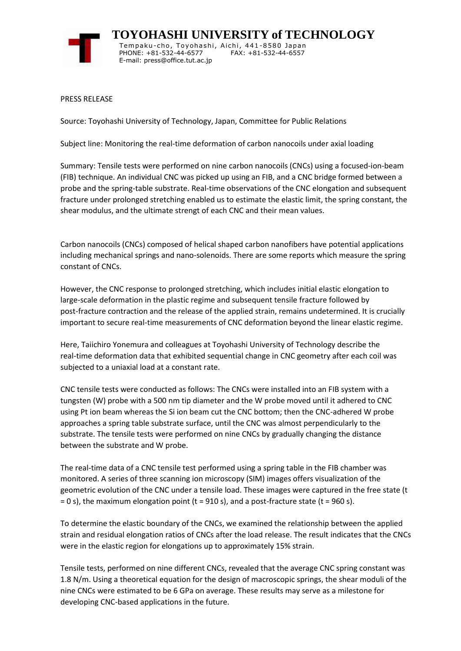

 **TOYOHASHI UNIVERSITY of TECHNOLOGY** Tempaku-cho, Toyohashi, Aichi, 441-8580 Japan PHONE: +81-532-44-6577 FAX: +81-532-44-6557 E-mail: press@office.tut.ac.jp

PRESS RELEASE

Source: Toyohashi University of Technology, Japan, Committee for Public Relations

Subject line: Monitoring the real-time deformation of carbon nanocoils under axial loading

Summary: Tensile tests were performed on nine carbon nanocoils (CNCs) using a focused-ion-beam (FIB) technique. An individual CNC was picked up using an FIB, and a CNC bridge formed between a probe and the spring-table substrate. Real-time observations of the CNC elongation and subsequent fracture under prolonged stretching enabled us to estimate the elastic limit, the spring constant, the shear modulus, and the ultimate strengt of each CNC and their mean values.

Carbon nanocoils (CNCs) composed of helical shaped carbon nanofibers have potential applications including mechanical springs and nano-solenoids. There are some reports which measure the spring constant of CNCs.

However, the CNC response to prolonged stretching, which includes initial elastic elongation to large-scale deformation in the plastic regime and subsequent tensile fracture followed by post-fracture contraction and the release of the applied strain, remains undetermined. It is crucially important to secure real-time measurements of CNC deformation beyond the linear elastic regime.

Here, Taiichiro Yonemura and colleagues at Toyohashi University of Technology describe the real-time deformation data that exhibited sequential change in CNC geometry after each coil was subjected to a uniaxial load at a constant rate.

CNC tensile tests were conducted as follows: The CNCs were installed into an FIB system with a tungsten (W) probe with a 500 nm tip diameter and the W probe moved until it adhered to CNC using Pt ion beam whereas the Si ion beam cut the CNC bottom; then the CNC-adhered W probe approaches a spring table substrate surface, until the CNC was almost perpendicularly to the substrate. The tensile tests were performed on nine CNCs by gradually changing the distance between the substrate and W probe.

The real-time data of a CNC tensile test performed using a spring table in the FIB chamber was monitored. A series of three scanning ion microscopy (SIM) images offers visualization of the geometric evolution of the CNC under a tensile load. These images were captured in the free state (t  $= 0$  s), the maximum elongation point (t = 910 s), and a post-fracture state (t = 960 s).

To determine the elastic boundary of the CNCs, we examined the relationship between the applied strain and residual elongation ratios of CNCs after the load release. The result indicates that the CNCs were in the elastic region for elongations up to approximately 15% strain.

Tensile tests, performed on nine different CNCs, revealed that the average CNC spring constant was 1.8 N/m. Using a theoretical equation for the design of macroscopic springs, the shear moduli of the nine CNCs were estimated to be 6 GPa on average. These results may serve as a milestone for developing CNC-based applications in the future.